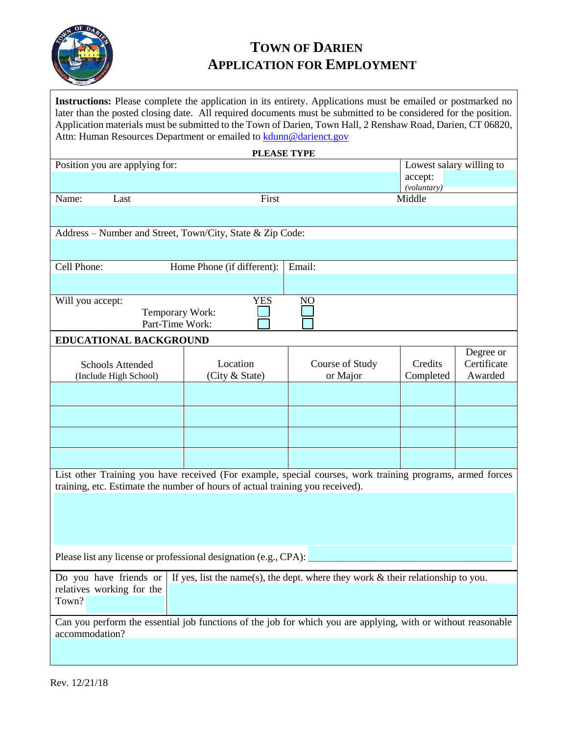

## **TOWN OF DARIEN APPLICATION FOR EMPLOYMENT**

**Instructions:** Please complete the application in its entirety. Applications must be emailed or postmarked no later than the posted closing date. All required documents must be submitted to be considered for the position. Application materials must be submitted to the Town of Darien, Town Hall, 2 Renshaw Road, Darien, CT 06820, Attn: Human Resources Department or emailed to **kdunn@darienct.gov** 

| PLEASE TYPE                                                                                                                                                                                |                                      |                          |                        |                        |  |  |
|--------------------------------------------------------------------------------------------------------------------------------------------------------------------------------------------|--------------------------------------|--------------------------|------------------------|------------------------|--|--|
| Position you are applying for:                                                                                                                                                             |                                      | Lowest salary willing to |                        |                        |  |  |
|                                                                                                                                                                                            |                                      |                          | accept:<br>(voluntary) |                        |  |  |
| Name:<br>Last                                                                                                                                                                              | First<br>Middle                      |                          |                        |                        |  |  |
|                                                                                                                                                                                            |                                      |                          |                        |                        |  |  |
|                                                                                                                                                                                            |                                      |                          |                        |                        |  |  |
| Address - Number and Street, Town/City, State & Zip Code:                                                                                                                                  |                                      |                          |                        |                        |  |  |
|                                                                                                                                                                                            |                                      |                          |                        |                        |  |  |
| Cell Phone:                                                                                                                                                                                | Email:<br>Home Phone (if different): |                          |                        |                        |  |  |
|                                                                                                                                                                                            |                                      |                          |                        |                        |  |  |
| Will you accept:                                                                                                                                                                           | <b>YES</b>                           | N <sub>O</sub>           |                        |                        |  |  |
| Temporary Work:                                                                                                                                                                            |                                      |                          |                        |                        |  |  |
| Part-Time Work:                                                                                                                                                                            |                                      |                          |                        |                        |  |  |
| EDUCATIONAL BACKGROUND                                                                                                                                                                     |                                      |                          |                        |                        |  |  |
|                                                                                                                                                                                            |                                      |                          |                        | Degree or              |  |  |
| <b>Schools Attended</b>                                                                                                                                                                    | Location<br>(City & State)           | Course of Study          | Credits<br>Completed   | Certificate<br>Awarded |  |  |
| (Include High School)                                                                                                                                                                      |                                      | or Major                 |                        |                        |  |  |
|                                                                                                                                                                                            |                                      |                          |                        |                        |  |  |
|                                                                                                                                                                                            |                                      |                          |                        |                        |  |  |
|                                                                                                                                                                                            |                                      |                          |                        |                        |  |  |
|                                                                                                                                                                                            |                                      |                          |                        |                        |  |  |
| List other Training you have received (For example, special courses, work training programs, armed forces<br>training, etc. Estimate the number of hours of actual training you received). |                                      |                          |                        |                        |  |  |
|                                                                                                                                                                                            |                                      |                          |                        |                        |  |  |
|                                                                                                                                                                                            |                                      |                          |                        |                        |  |  |
|                                                                                                                                                                                            |                                      |                          |                        |                        |  |  |
|                                                                                                                                                                                            |                                      |                          |                        |                        |  |  |
| Please list any license or professional designation (e.g., CPA):                                                                                                                           |                                      |                          |                        |                        |  |  |
| Do you have friends or If yes, list the name(s), the dept. where they work $\&$ their relationship to you.                                                                                 |                                      |                          |                        |                        |  |  |
| relatives working for the                                                                                                                                                                  |                                      |                          |                        |                        |  |  |
| Town?                                                                                                                                                                                      |                                      |                          |                        |                        |  |  |
|                                                                                                                                                                                            |                                      |                          |                        |                        |  |  |
| Can you perform the essential job functions of the job for which you are applying, with or without reasonable<br>accommodation?                                                            |                                      |                          |                        |                        |  |  |
|                                                                                                                                                                                            |                                      |                          |                        |                        |  |  |
|                                                                                                                                                                                            |                                      |                          |                        |                        |  |  |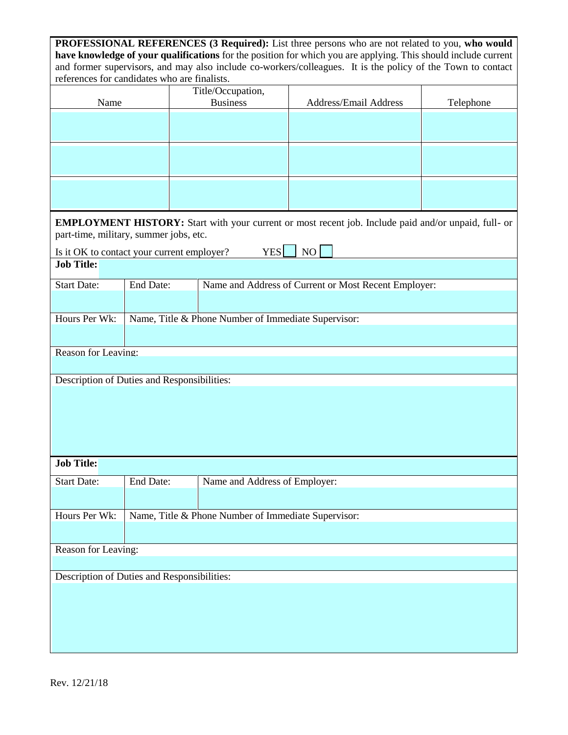| PROFESSIONAL REFERENCES (3 Required): List three persons who are not related to you, who would<br>have knowledge of your qualifications for the position for which you are applying. This should include current<br>and former supervisors, and may also include co-workers/colleagues. It is the policy of the Town to contact<br>references for candidates who are finalists. |                                                     |                                                     |                                                      |                       |           |  |
|---------------------------------------------------------------------------------------------------------------------------------------------------------------------------------------------------------------------------------------------------------------------------------------------------------------------------------------------------------------------------------|-----------------------------------------------------|-----------------------------------------------------|------------------------------------------------------|-----------------------|-----------|--|
| Name                                                                                                                                                                                                                                                                                                                                                                            |                                                     | Title/Occupation,<br><b>Business</b>                |                                                      | Address/Email Address | Telephone |  |
|                                                                                                                                                                                                                                                                                                                                                                                 |                                                     |                                                     |                                                      |                       |           |  |
|                                                                                                                                                                                                                                                                                                                                                                                 |                                                     |                                                     |                                                      |                       |           |  |
|                                                                                                                                                                                                                                                                                                                                                                                 |                                                     |                                                     |                                                      |                       |           |  |
| <b>EMPLOYMENT HISTORY:</b> Start with your current or most recent job. Include paid and/or unpaid, full- or<br>part-time, military, summer jobs, etc.                                                                                                                                                                                                                           |                                                     |                                                     |                                                      |                       |           |  |
| Is it OK to contact your current employer?<br><b>Job Title:</b>                                                                                                                                                                                                                                                                                                                 |                                                     |                                                     | <b>YES</b>                                           | NO                    |           |  |
| <b>Start Date:</b>                                                                                                                                                                                                                                                                                                                                                              | End Date:                                           |                                                     | Name and Address of Current or Most Recent Employer: |                       |           |  |
| Hours Per Wk:                                                                                                                                                                                                                                                                                                                                                                   | Name, Title & Phone Number of Immediate Supervisor: |                                                     |                                                      |                       |           |  |
| Reason for Leaving:                                                                                                                                                                                                                                                                                                                                                             |                                                     |                                                     |                                                      |                       |           |  |
| Description of Duties and Responsibilities:                                                                                                                                                                                                                                                                                                                                     |                                                     |                                                     |                                                      |                       |           |  |
|                                                                                                                                                                                                                                                                                                                                                                                 |                                                     |                                                     |                                                      |                       |           |  |
| <b>Job Title:</b>                                                                                                                                                                                                                                                                                                                                                               |                                                     |                                                     |                                                      |                       |           |  |
| <b>Start Date:</b>                                                                                                                                                                                                                                                                                                                                                              | End Date:                                           |                                                     | Name and Address of Employer:                        |                       |           |  |
| Hours Per Wk:                                                                                                                                                                                                                                                                                                                                                                   |                                                     | Name, Title & Phone Number of Immediate Supervisor: |                                                      |                       |           |  |
| Reason for Leaving:                                                                                                                                                                                                                                                                                                                                                             |                                                     |                                                     |                                                      |                       |           |  |
| Description of Duties and Responsibilities:                                                                                                                                                                                                                                                                                                                                     |                                                     |                                                     |                                                      |                       |           |  |
|                                                                                                                                                                                                                                                                                                                                                                                 |                                                     |                                                     |                                                      |                       |           |  |
|                                                                                                                                                                                                                                                                                                                                                                                 |                                                     |                                                     |                                                      |                       |           |  |
|                                                                                                                                                                                                                                                                                                                                                                                 |                                                     |                                                     |                                                      |                       |           |  |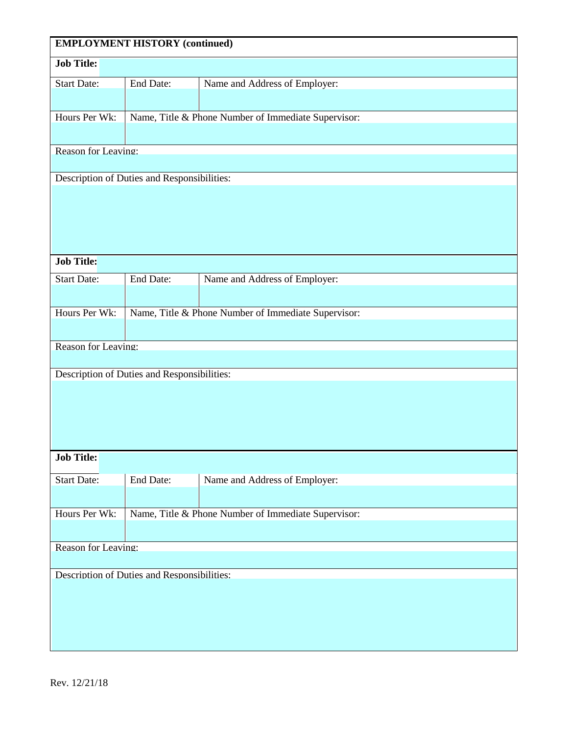| <b>EMPLOYMENT HISTORY (continued)</b>       |                                                     |                                                     |  |  |  |
|---------------------------------------------|-----------------------------------------------------|-----------------------------------------------------|--|--|--|
| <b>Job Title:</b>                           |                                                     |                                                     |  |  |  |
| <b>Start Date:</b>                          | End Date:                                           | Name and Address of Employer:                       |  |  |  |
|                                             |                                                     |                                                     |  |  |  |
| Hours Per Wk:                               |                                                     | Name, Title & Phone Number of Immediate Supervisor: |  |  |  |
|                                             |                                                     |                                                     |  |  |  |
|                                             | Reason for Leaving:                                 |                                                     |  |  |  |
| Description of Duties and Responsibilities: |                                                     |                                                     |  |  |  |
|                                             |                                                     |                                                     |  |  |  |
|                                             |                                                     |                                                     |  |  |  |
|                                             |                                                     |                                                     |  |  |  |
|                                             |                                                     |                                                     |  |  |  |
| <b>Job Title:</b>                           |                                                     |                                                     |  |  |  |
|                                             |                                                     |                                                     |  |  |  |
| <b>Start Date:</b>                          | End Date:                                           | Name and Address of Employer:                       |  |  |  |
|                                             |                                                     |                                                     |  |  |  |
| Hours Per Wk:                               | Name, Title & Phone Number of Immediate Supervisor: |                                                     |  |  |  |
|                                             |                                                     |                                                     |  |  |  |
| Reason for Leaving:                         |                                                     |                                                     |  |  |  |
|                                             | Description of Duties and Responsibilities:         |                                                     |  |  |  |
|                                             |                                                     |                                                     |  |  |  |
|                                             |                                                     |                                                     |  |  |  |
|                                             |                                                     |                                                     |  |  |  |
|                                             |                                                     |                                                     |  |  |  |
| <b>Job Title:</b>                           |                                                     |                                                     |  |  |  |
| <b>Start Date:</b>                          | End Date:                                           | Name and Address of Employer:                       |  |  |  |
|                                             |                                                     |                                                     |  |  |  |
| Hours Per Wk:                               |                                                     |                                                     |  |  |  |
|                                             | Name, Title & Phone Number of Immediate Supervisor: |                                                     |  |  |  |
|                                             |                                                     |                                                     |  |  |  |
| Reason for Leaving:                         |                                                     |                                                     |  |  |  |
| Description of Duties and Responsibilities: |                                                     |                                                     |  |  |  |
|                                             |                                                     |                                                     |  |  |  |
|                                             |                                                     |                                                     |  |  |  |
|                                             |                                                     |                                                     |  |  |  |
|                                             |                                                     |                                                     |  |  |  |
|                                             |                                                     |                                                     |  |  |  |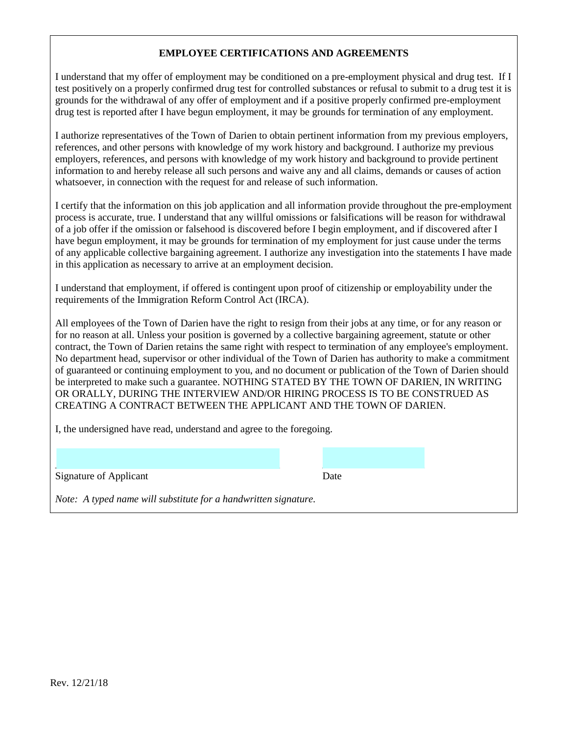## **EMPLOYEE CERTIFICATIONS AND AGREEMENTS**

I understand that my offer of employment may be conditioned on a pre-employment physical and drug test. If I test positively on a properly confirmed drug test for controlled substances or refusal to submit to a drug test it is grounds for the withdrawal of any offer of employment and if a positive properly confirmed pre-employment drug test is reported after I have begun employment, it may be grounds for termination of any employment.

I authorize representatives of the Town of Darien to obtain pertinent information from my previous employers, references, and other persons with knowledge of my work history and background. I authorize my previous employers, references, and persons with knowledge of my work history and background to provide pertinent information to and hereby release all such persons and waive any and all claims, demands or causes of action whatsoever, in connection with the request for and release of such information.

I certify that the information on this job application and all information provide throughout the pre-employment process is accurate, true. I understand that any willful omissions or falsifications will be reason for withdrawal of a job offer if the omission or falsehood is discovered before I begin employment, and if discovered after I have begun employment, it may be grounds for termination of my employment for just cause under the terms of any applicable collective bargaining agreement. I authorize any investigation into the statements I have made in this application as necessary to arrive at an employment decision.

I understand that employment, if offered is contingent upon proof of citizenship or employability under the requirements of the Immigration Reform Control Act (IRCA).

All employees of the Town of Darien have the right to resign from their jobs at any time, or for any reason or for no reason at all. Unless your position is governed by a collective bargaining agreement, statute or other contract, the Town of Darien retains the same right with respect to termination of any employee's employment. No department head, supervisor or other individual of the Town of Darien has authority to make a commitment of guaranteed or continuing employment to you, and no document or publication of the Town of Darien should be interpreted to make such a guarantee. NOTHING STATED BY THE TOWN OF DARIEN, IN WRITING OR ORALLY, DURING THE INTERVIEW AND/OR HIRING PROCESS IS TO BE CONSTRUED AS CREATING A CONTRACT BETWEEN THE APPLICANT AND THE TOWN OF DARIEN.

I, the undersigned have read, understand and agree to the foregoing.

 $\mathcal{L}_\text{max} = \frac{1}{2} \sum_{i=1}^n \mathcal{L}_i \mathcal{L}_i + \frac{1}{2} \sum_{i=1}^n \mathcal{L}_i \mathcal{L}_i + \frac{1}{2} \sum_{i=1}^n \mathcal{L}_i \mathcal{L}_i + \frac{1}{2} \sum_{i=1}^n \mathcal{L}_i \mathcal{L}_i + \frac{1}{2} \sum_{i=1}^n \mathcal{L}_i \mathcal{L}_i + \frac{1}{2} \sum_{i=1}^n \mathcal{L}_i \mathcal{L}_i + \frac{1}{2} \sum_{i=1}^n \mathcal{L}_$ 

Signature of Applicant Date

*Note: A typed name will substitute for a handwritten signature.*